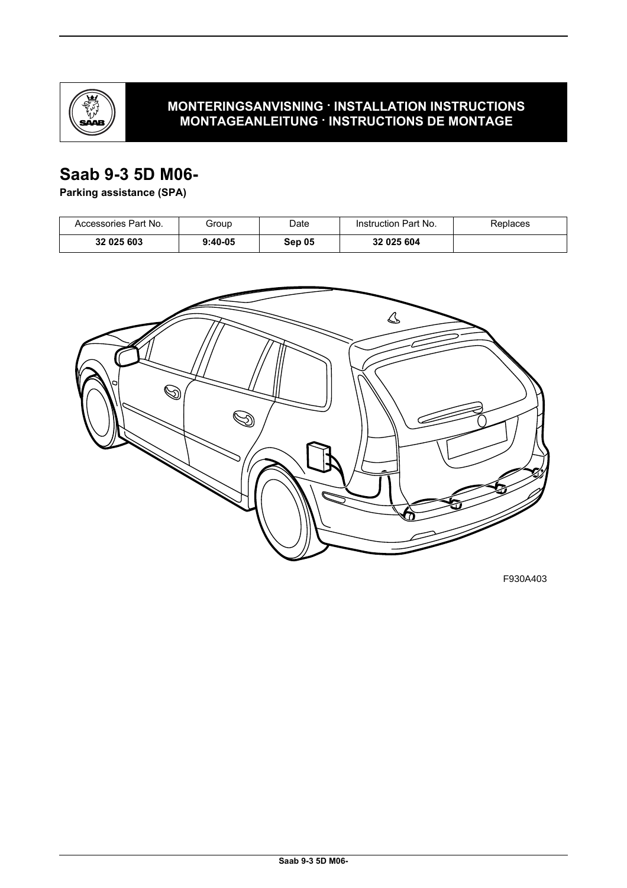

### **MONTERINGSANVISNING · INSTALLATION INSTRUCTIONS MONTAGEANLEITUNG · INSTRUCTIONS DE MONTAGE**

# **Saab 9-3 5D M06-**

**Parking assistance (SPA)**

| Accessories Part No. | Group     | Date   | Instruction Part No. | Replaces |
|----------------------|-----------|--------|----------------------|----------|
| 32 025 603           | $9:40-05$ | Sep 05 | 32 025 604           |          |



F930A403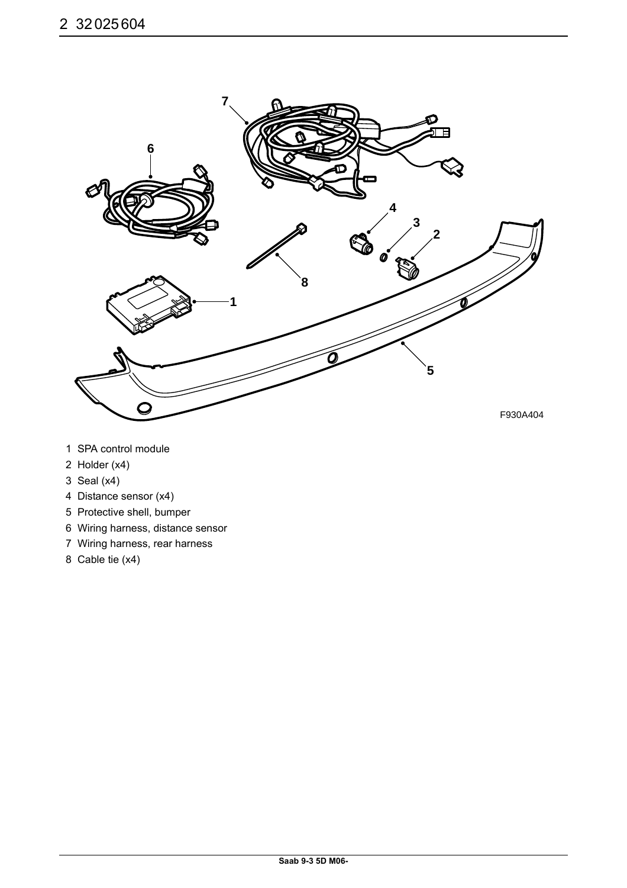

- 1 SPA control module
- 2 Holder (x4)
- 3 Seal (x4)
- 4 Distance sensor (x4)
- 5 Protective shell, bumper
- 6 Wiring harness, distance sensor
- 7 Wiring harness, rear harness
- 8 Cable tie (x4)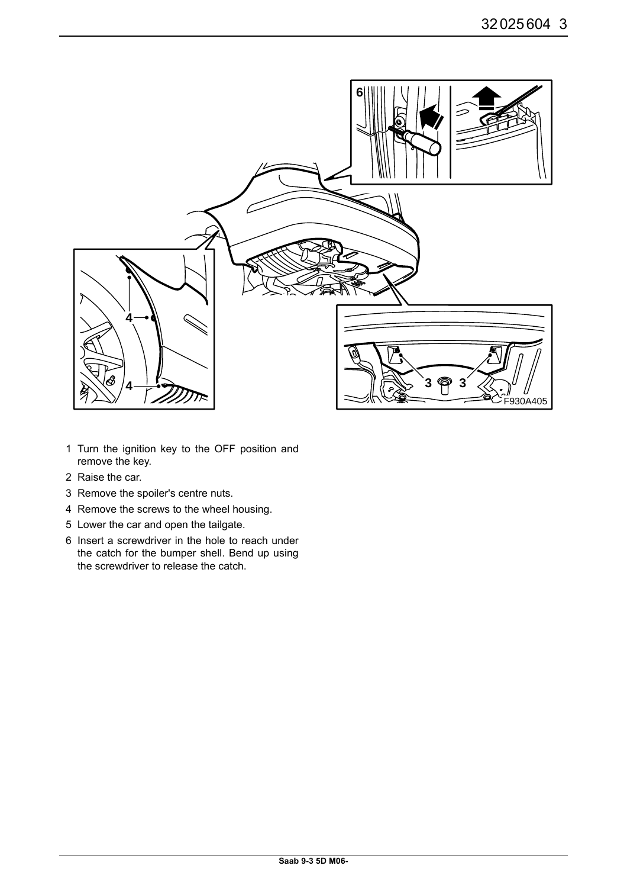

- 1 Turn the ignition key to the OFF position and remove the key.
- 2 Raise the car.
- 3 Remove the spoiler's centre nuts.
- 4 Remove the screws to the wheel housing.
- 5 Lower the car and open the tailgate.
- 6 Insert a screwdriver in the hole to reach under the catch for the bumper shell. Bend up using the screwdriver to release the catch.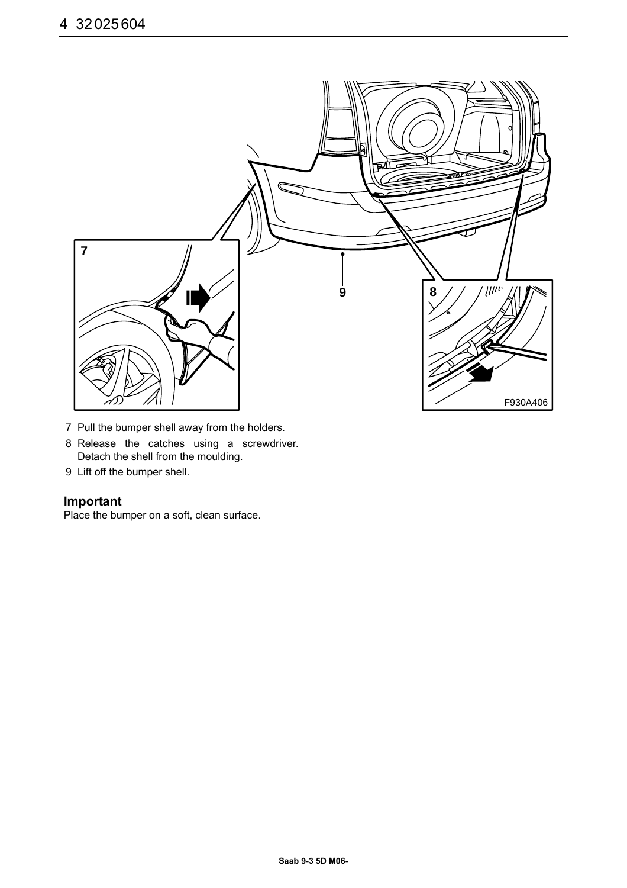

- 7 Pull the bumper shell away from the holders.
- 8 Release the catches using a screwdriver. Detach the shell from the moulding.
- 9 Lift off the bumper shell.

#### **Important**

Place the bumper on a soft, clean surface.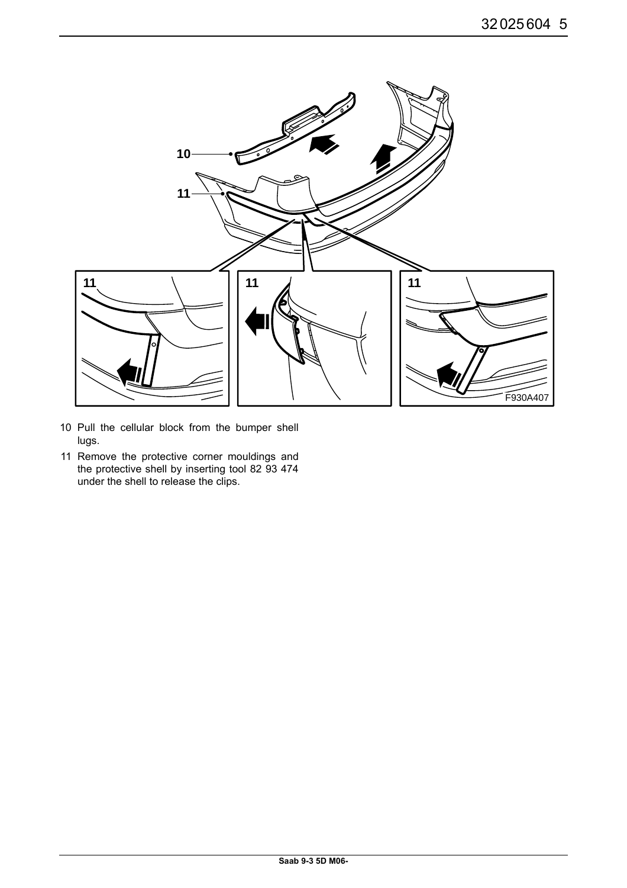

- 10 Pull the cellular block from the bumper shell lugs.
- 11 Remove the protective corner mouldings and the protective shell by inserting tool 82 93 474 under the shell to release the clips.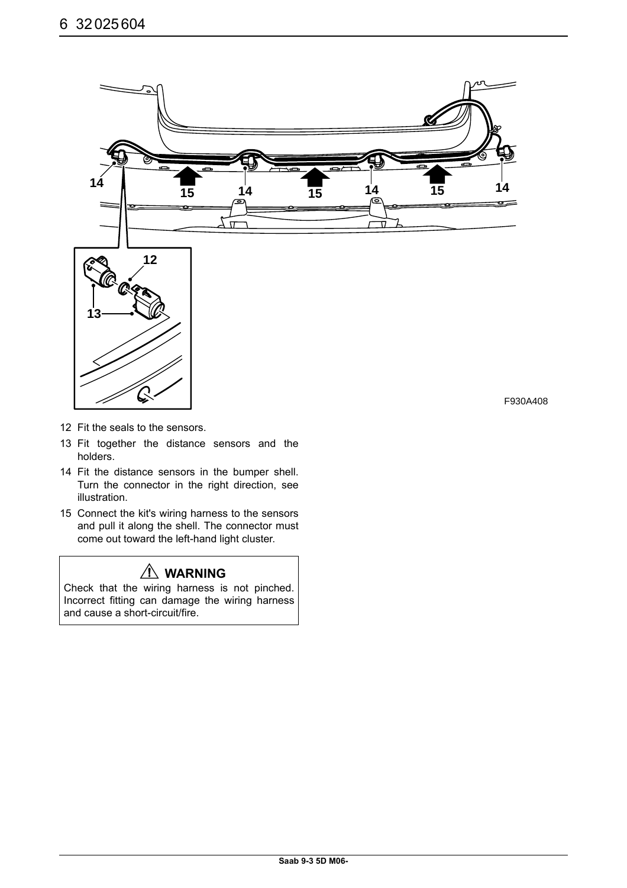

- 12 Fit the seals to the sensors.
- 13 Fit together the distance sensors and the holders.
- 14 Fit the distance sensors in the bumper shell. Turn the connector in the right direction, see illustration.
- 15 Connect the kit's wiring harness to the sensors and pull it along the shell. The connector must come out toward the left-hand light cluster.

# **WARNING**

Check that the wiring harness is not pinched. Incorrect fitting can damage the wiring harness and cause a short-circuit/fire.

F930A408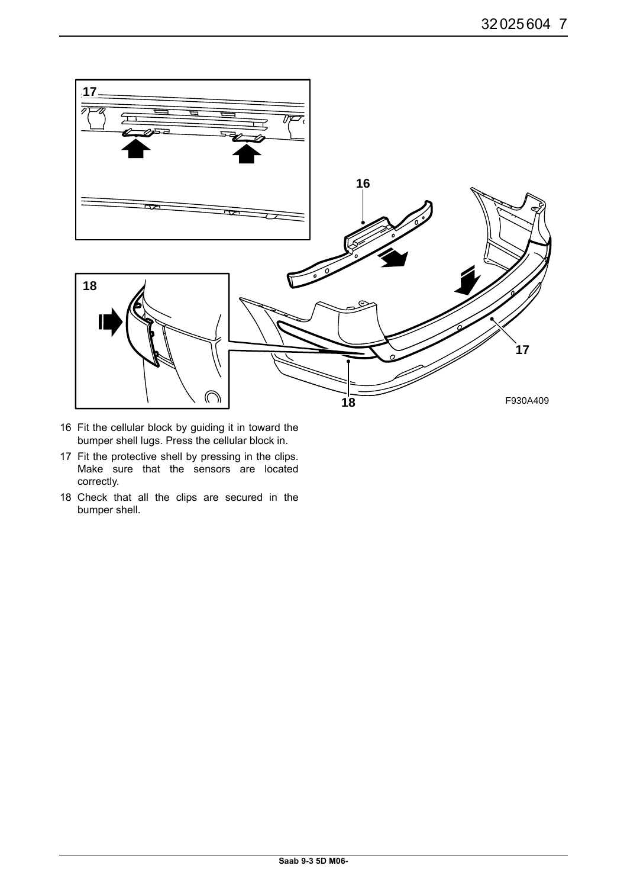

- 16 Fit the cellular block by guiding it in toward the bumper shell lugs. Press the cellular block in.
- 17 Fit the protective shell by pressing in the clips. Make sure that the sensors are located correctly.
- 18 Check that all the clips are secured in the bumper shell.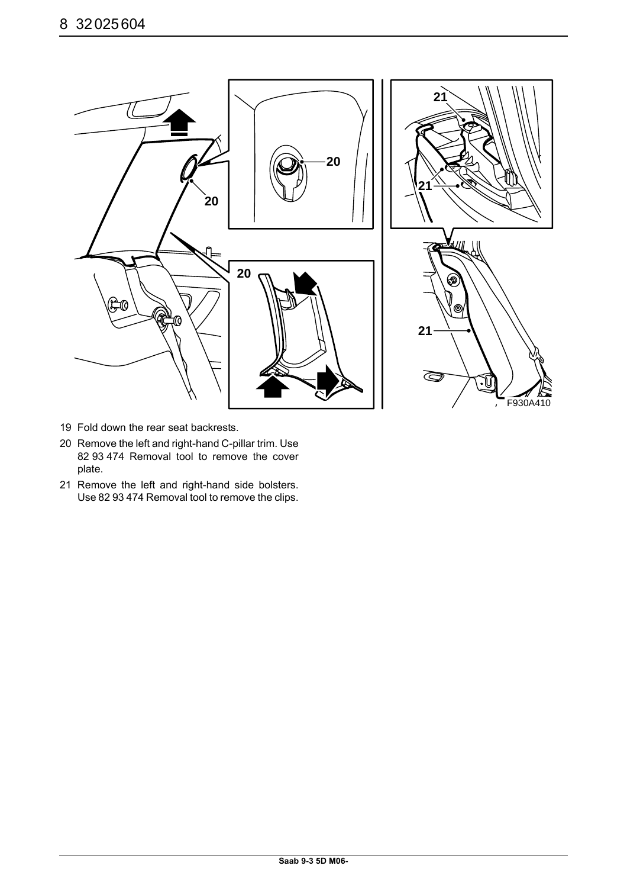

- 19 Fold down the rear seat backrests.
- 20 Remove the left and right-hand C-pillar trim. Use 82 93 474 Removal tool to remove the cover plate.
- 21 Remove the left and right-hand side bolsters. Use 82 93 474 Removal tool to remove the clips.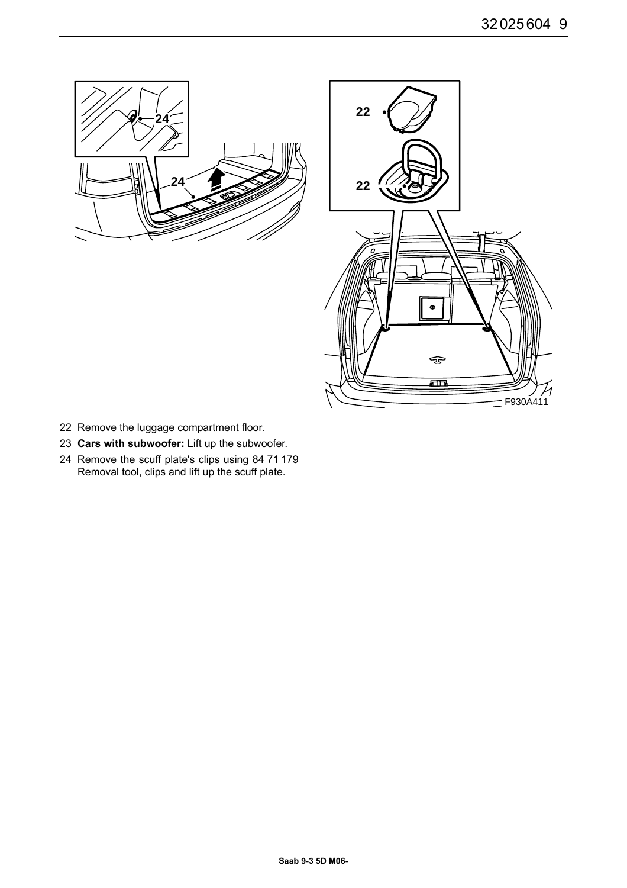



- 22 Remove the luggage compartment floor.
- 23 **Cars with subwoofer:** Lift up the subwoofer.
- 24 Remove the scuff plate's clips using 84 71 179 Removal tool, clips and lift up the scuff plate.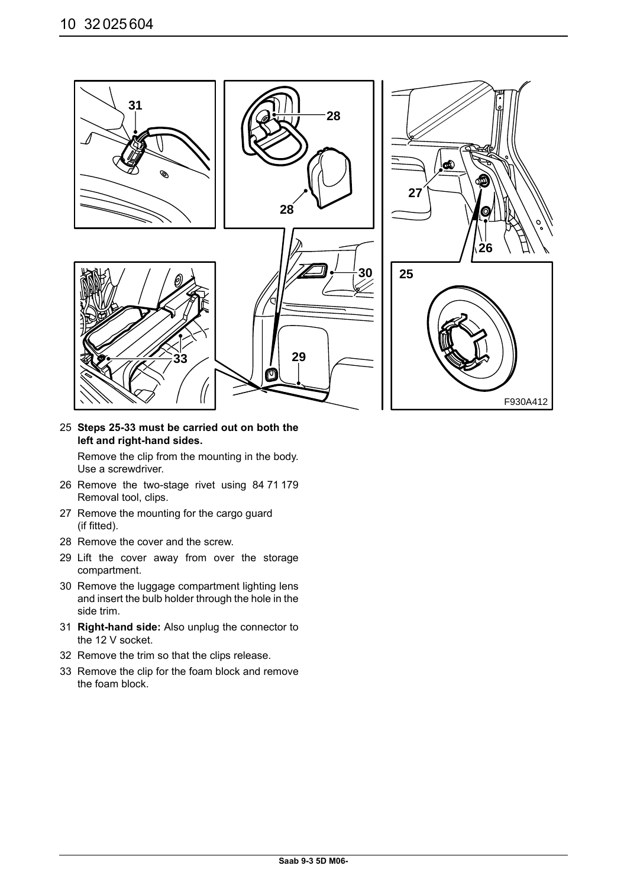

25 **Steps 25-33 must be carried out on both the left and right-hand sides.**

Remove the clip from the mounting in the body. Use a screwdriver.

- 26 Remove the two-stage rivet using 84 71 179 Removal tool, clips.
- 27 Remove the mounting for the cargo guard (if fitted).
- 28 Remove the cover and the screw.
- 29 Lift the cover away from over the storage compartment.
- 30 Remove the luggage compartment lighting lens and insert the bulb holder through the hole in the side trim.
- 31 **Right-hand side:** Also unplug the connector to the 12 V socket.
- 32 Remove the trim so that the clips release.
- 33 Remove the clip for the foam block and remove the foam block.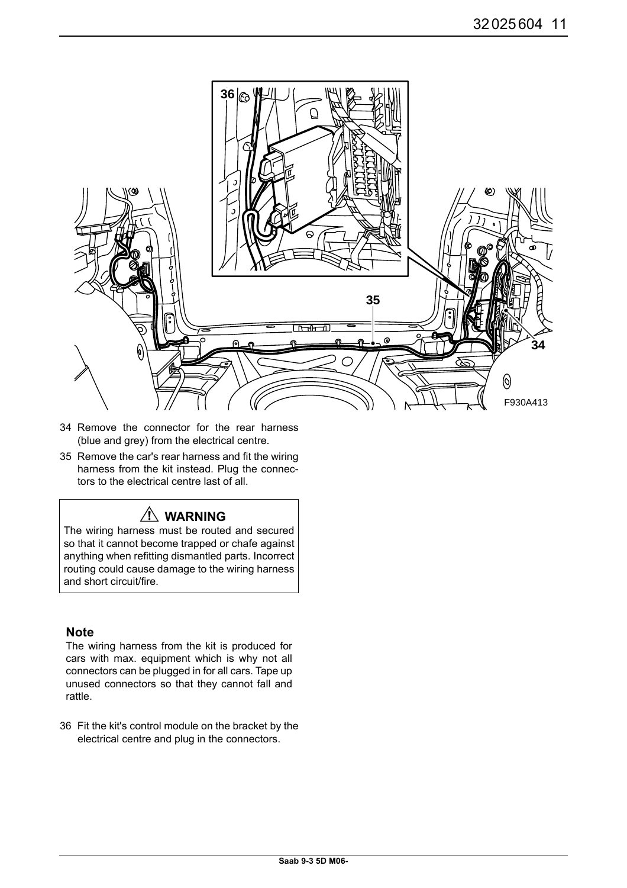

- 34 Remove the connector for the rear harness (blue and grey) from the electrical centre.
- 35 Remove the car's rear harness and fit the wiring harness from the kit instead. Plug the connectors to the electrical centre last of all.

### **WARNING**

The wiring harness must be routed and secured so that it cannot become trapped or chafe against anything when refitting dismantled parts. Incorrect routing could cause damage to the wiring harness and short circuit/fire.

#### **Note**

The wiring harness from the kit is produced for cars with max. equipment which is why not all connectors can be plugged in for all cars. Tape up unused connectors so that they cannot fall and rattle.

36 Fit the kit's control module on the bracket by the electrical centre and plug in the connectors.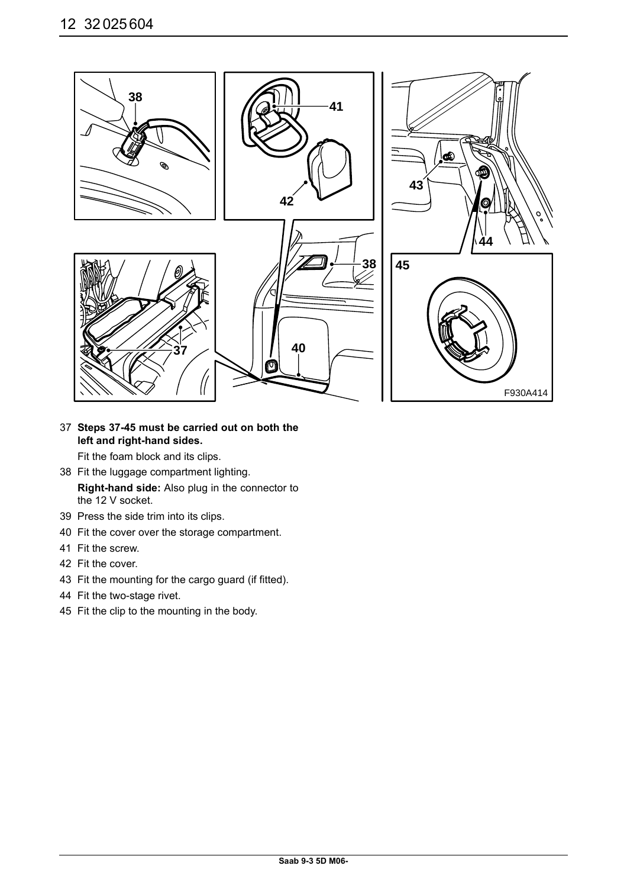

37 **Steps 37-45 must be carried out on both the left and right-hand sides.**

Fit the foam block and its clips.

- 38 Fit the luggage compartment lighting. **Right-hand side:** Also plug in the connector to the 12 V socket.
- 39 Press the side trim into its clips.
- 40 Fit the cover over the storage compartment.
- 41 Fit the screw.
- 42 Fit the cover.
- 43 Fit the mounting for the cargo guard (if fitted).
- 44 Fit the two-stage rivet.
- 45 Fit the clip to the mounting in the body.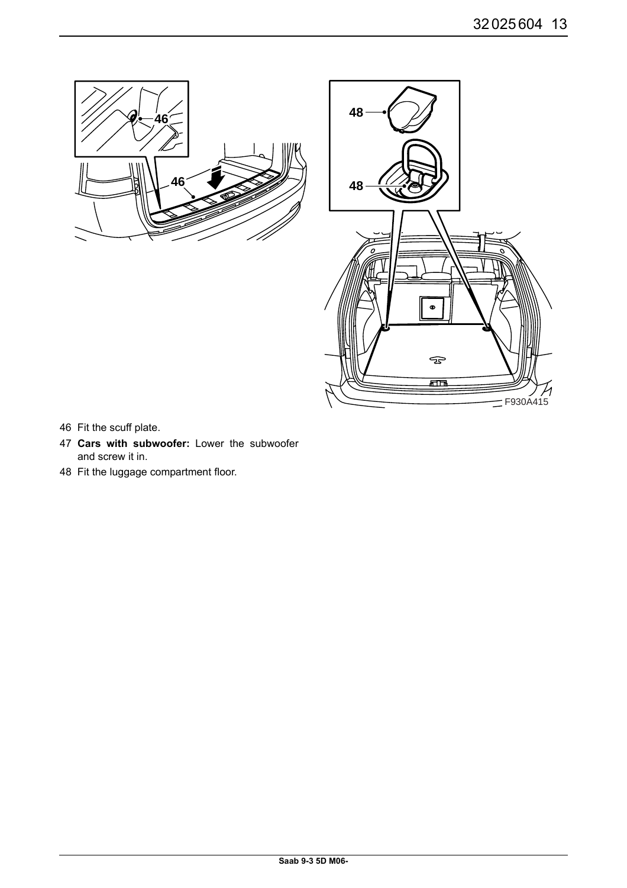



- 46 Fit the scuff plate.
- 47 **Cars with subwoofer:** Lower the subwoofer and screw it in.
- 48 Fit the luggage compartment floor.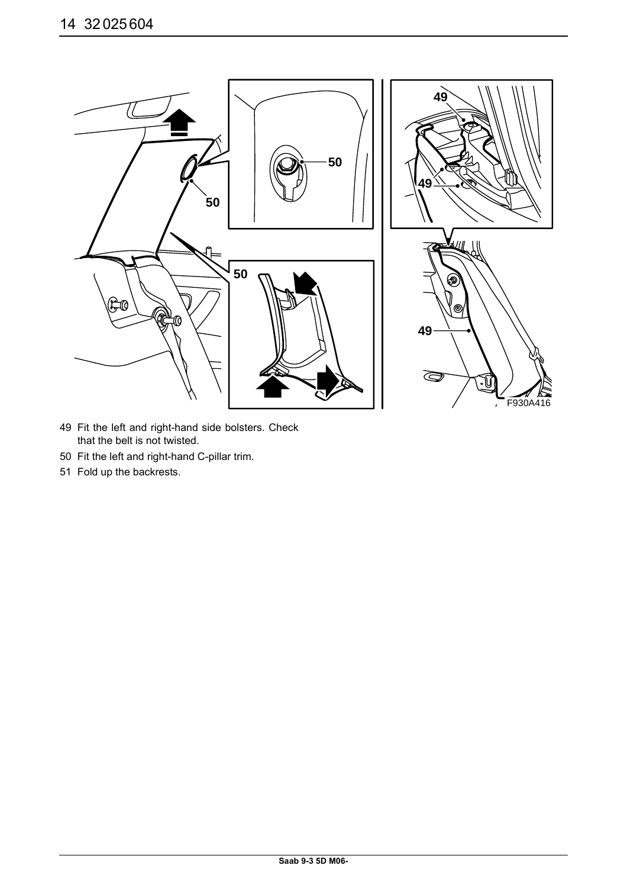

- 49 Fit the left and right-hand side bolsters. Check that the belt is not twisted.
- 50 Fit the left and right-hand C-pillar trim.
- 51 Fold up the backrests.